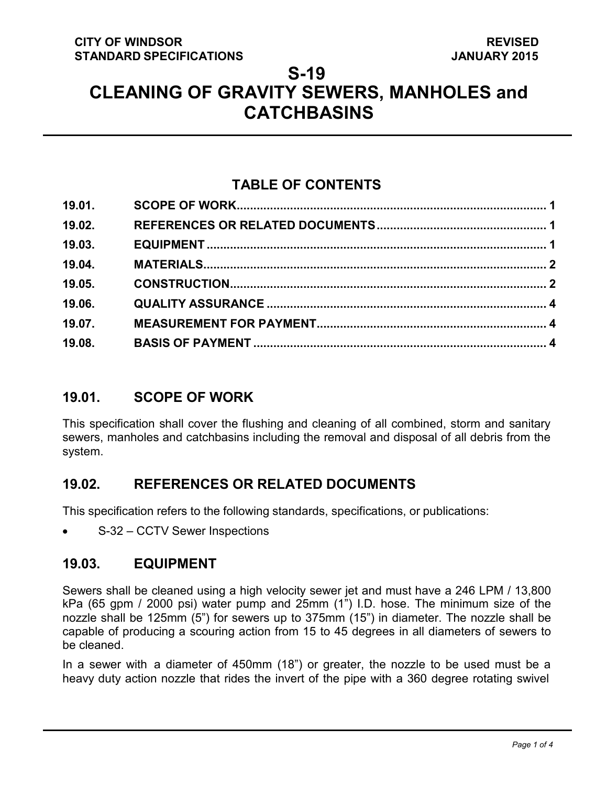# **S-19 CLEANING OF GRAVITY SEWERS, MANHOLES and CATCHBASINS**

## **TABLE OF CONTENTS**

| 19.01. |  |
|--------|--|
| 19.02. |  |
| 19.03. |  |
| 19.04. |  |
| 19.05. |  |
| 19.06. |  |
| 19.07. |  |
| 19.08. |  |

## <span id="page-0-2"></span>**19.01. SCOPE OF WORK**

This specification shall cover the flushing and cleaning of all combined, storm and sanitary sewers, manholes and catchbasins including the removal and disposal of all debris from the system.

### <span id="page-0-0"></span>**19.02. REFERENCES OR RELATED DOCUMENTS**

This specification refers to the following standards, specifications, or publications:

• S-32 – CCTV Sewer Inspections

#### <span id="page-0-1"></span>**19.03. EQUIPMENT**

Sewers shall be cleaned using a high velocity sewer jet and must have a 246 LPM / 13,800 kPa (65 gpm / 2000 psi) water pump and 25mm (1") I.D. hose. The minimum size of the nozzle shall be 125mm (5") for sewers up to 375mm (15") in diameter. The nozzle shall be capable of producing a scouring action from 15 to 45 degrees in all diameters of sewers to be cleaned.

In a sewer with a diameter of 450mm (18") or greater, the nozzle to be used must be a heavy duty action nozzle that rides the invert of the pipe with a 360 degree rotating swivel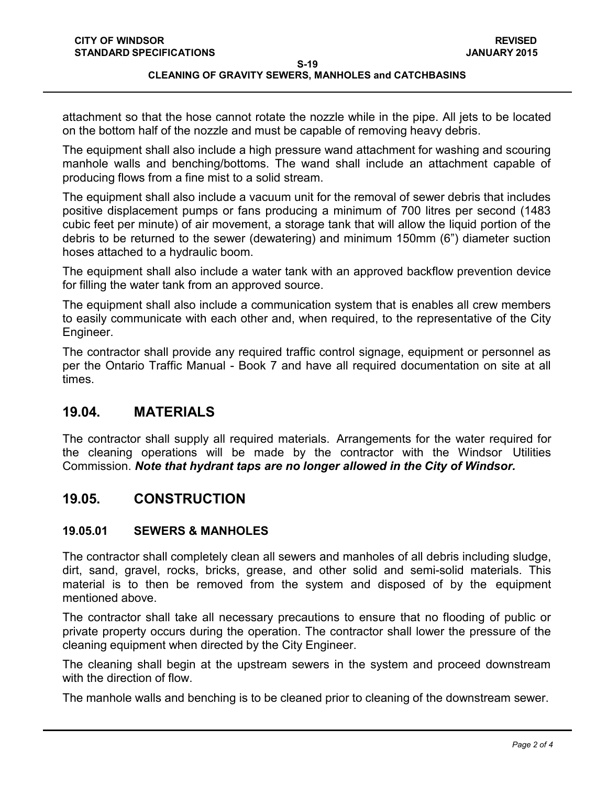# **CLEANING OF GRAVITY SEWERS, MANHOLES and CATCHBASINS**

attachment so that the hose cannot rotate the nozzle while in the pipe. All jets to be located on the bottom half of the nozzle and must be capable of removing heavy debris.

The equipment shall also include a high pressure wand attachment for washing and scouring manhole walls and benching/bottoms. The wand shall include an attachment capable of producing flows from a fine mist to a solid stream.

The equipment shall also include a vacuum unit for the removal of sewer debris that includes positive displacement pumps or fans producing a minimum of 700 litres per second (1483 cubic feet per minute) of air movement, a storage tank that will allow the liquid portion of the debris to be returned to the sewer (dewatering) and minimum 150mm (6") diameter suction hoses attached to a hydraulic boom.

The equipment shall also include a water tank with an approved backflow prevention device for filling the water tank from an approved source.

The equipment shall also include a communication system that is enables all crew members to easily communicate with each other and, when required, to the representative of the City Engineer.

The contractor shall provide any required traffic control signage, equipment or personnel as per the Ontario Traffic Manual - Book 7 and have all required documentation on site at all times.

### <span id="page-1-0"></span>**19.04. MATERIALS**

The contractor shall supply all required materials. Arrangements for the water required for the cleaning operations will be made by the contractor with the Windsor Utilities Commission. *Note that hydrant taps are no longer allowed in the City of Windsor.*

## <span id="page-1-1"></span>**19.05. CONSTRUCTION**

#### **19.05.01 SEWERS & MANHOLES**

The contractor shall completely clean all sewers and manholes of all debris including sludge, dirt, sand, gravel, rocks, bricks, grease, and other solid and semi-solid materials. This material is to then be removed from the system and disposed of by the equipment mentioned above.

The contractor shall take all necessary precautions to ensure that no flooding of public or private property occurs during the operation. The contractor shall lower the pressure of the cleaning equipment when directed by the City Engineer.

The cleaning shall begin at the upstream sewers in the system and proceed downstream with the direction of flow.

The manhole walls and benching is to be cleaned prior to cleaning of the downstream sewer.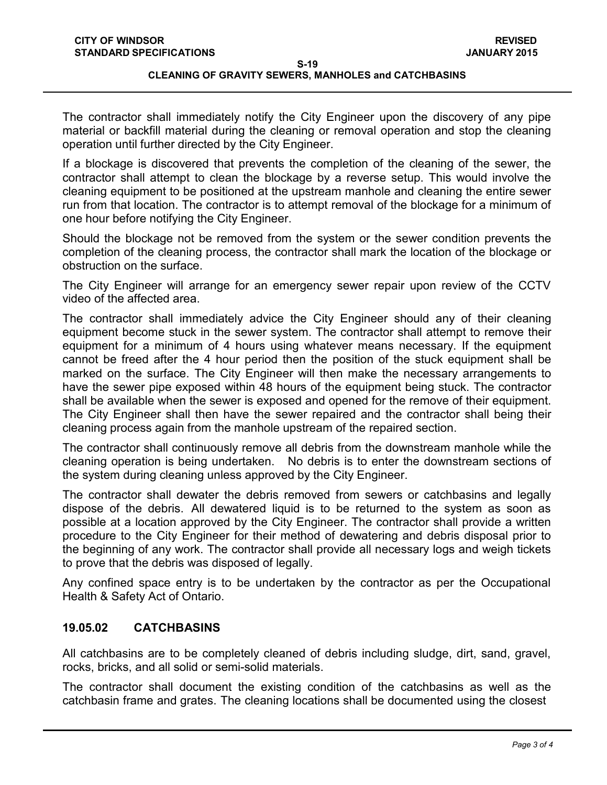#### **CLEANING OF GRAVITY SEWERS, MANHOLES and CATCHBASINS**

The contractor shall immediately notify the City Engineer upon the discovery of any pipe material or backfill material during the cleaning or removal operation and stop the cleaning operation until further directed by the City Engineer.

If a blockage is discovered that prevents the completion of the cleaning of the sewer, the contractor shall attempt to clean the blockage by a reverse setup. This would involve the cleaning equipment to be positioned at the upstream manhole and cleaning the entire sewer run from that location. The contractor is to attempt removal of the blockage for a minimum of one hour before notifying the City Engineer.

Should the blockage not be removed from the system or the sewer condition prevents the completion of the cleaning process, the contractor shall mark the location of the blockage or obstruction on the surface.

The City Engineer will arrange for an emergency sewer repair upon review of the CCTV video of the affected area.

The contractor shall immediately advice the City Engineer should any of their cleaning equipment become stuck in the sewer system. The contractor shall attempt to remove their equipment for a minimum of 4 hours using whatever means necessary. If the equipment cannot be freed after the 4 hour period then the position of the stuck equipment shall be marked on the surface. The City Engineer will then make the necessary arrangements to have the sewer pipe exposed within 48 hours of the equipment being stuck. The contractor shall be available when the sewer is exposed and opened for the remove of their equipment. The City Engineer shall then have the sewer repaired and the contractor shall being their cleaning process again from the manhole upstream of the repaired section.

The contractor shall continuously remove all debris from the downstream manhole while the cleaning operation is being undertaken. No debris is to enter the downstream sections of the system during cleaning unless approved by the City Engineer.

The contractor shall dewater the debris removed from sewers or catchbasins and legally dispose of the debris. All dewatered liquid is to be returned to the system as soon as possible at a location approved by the City Engineer. The contractor shall provide a written procedure to the City Engineer for their method of dewatering and debris disposal prior to the beginning of any work. The contractor shall provide all necessary logs and weigh tickets to prove that the debris was disposed of legally.

Any confined space entry is to be undertaken by the contractor as per the Occupational Health & Safety Act of Ontario.

#### **19.05.02 CATCHBASINS**

All catchbasins are to be completely cleaned of debris including sludge, dirt, sand, gravel, rocks, bricks, and all solid or semi-solid materials.

The contractor shall document the existing condition of the catchbasins as well as the catchbasin frame and grates. The cleaning locations shall be documented using the closest